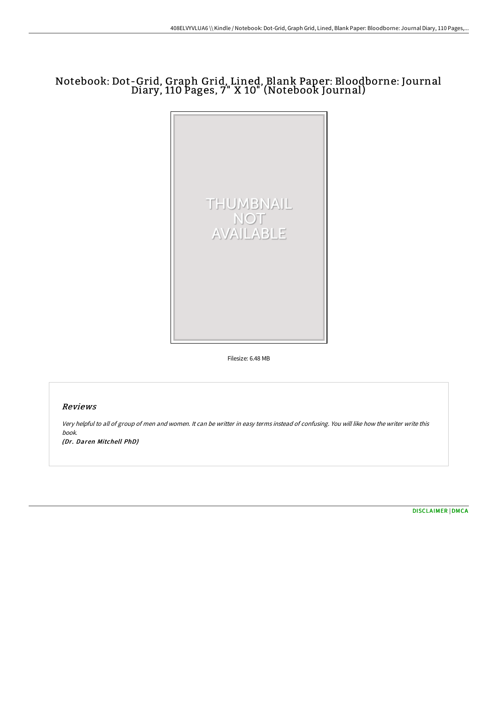# Notebook: Dot-Grid, Graph Grid, Lined, Blank Paper: Bloodborne: Journal Diary, 110 Pages, 7" X 10" (Notebook Journal)



Filesize: 6.48 MB

# Reviews

Very helpful to all of group of men and women. It can be writter in easy terms instead of confusing. You will like how the writer write this book.

(Dr. Daren Mitchell PhD)

[DISCLAIMER](http://www.bookdirs.com/disclaimer.html) | [DMCA](http://www.bookdirs.com/dmca.html)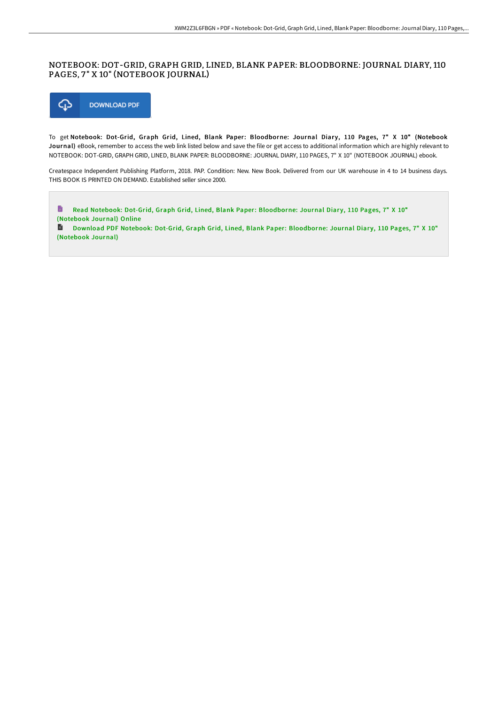### NOTEBOOK: DOT-GRID, GRAPH GRID, LINED, BLANK PAPER: BLOODBORNE: JOURNAL DIARY, 110 PAGES, 7" X 10" (NOTEBOOK JOURNAL)



To get Notebook: Dot-Grid, Graph Grid, Lined, Blank Paper: Bloodborne: Journal Diary, 110 Pages, 7" X 10" (Notebook Journal) eBook, remember to access the web link listed below and save the file or get access to additional information which are highly relevant to NOTEBOOK: DOT-GRID, GRAPH GRID, LINED, BLANK PAPER: BLOODBORNE: JOURNAL DIARY, 110 PAGES, 7" X 10" (NOTEBOOK JOURNAL) ebook.

Createspace Independent Publishing Platform, 2018. PAP. Condition: New. New Book. Delivered from our UK warehouse in 4 to 14 business days. THIS BOOK IS PRINTED ON DEMAND. Established seller since 2000.